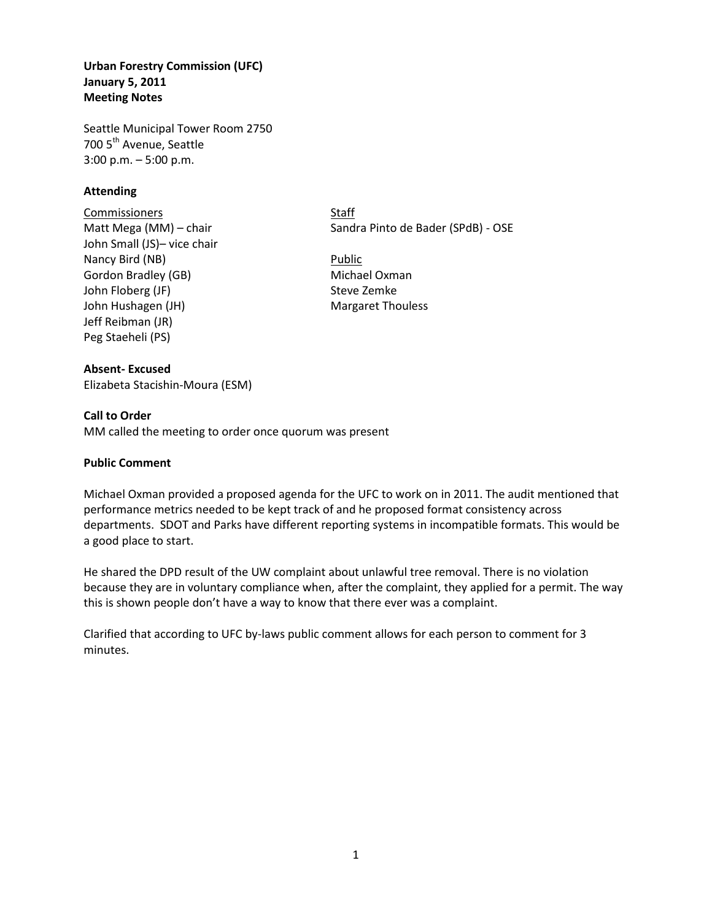**Urban Forestry Commission (UFC) January 5, 2011 Meeting Notes** 

Seattle Municipal Tower Room 2750 700 5<sup>th</sup> Avenue, Seattle 3:00 p.m. – 5:00 p.m.

## **Attending**

**Commissioners** Staff John Small (JS)– vice chair Nancy Bird (NB) Public Gordon Bradley (GB) Michael Oxman John Floberg (JF) Steve Zemke John Hushagen (JH) Margaret Thouless Jeff Reibman (JR) Peg Staeheli (PS)

**Absent- Excused** Elizabeta Stacishin-Moura (ESM)

Matt Mega (MM) – chair Sandra Pinto de Bader (SPdB) - OSE

## **Call to Order**

MM called the meeting to order once quorum was present

### **Public Comment**

Michael Oxman provided a proposed agenda for the UFC to work on in 2011. The audit mentioned that performance metrics needed to be kept track of and he proposed format consistency across departments. SDOT and Parks have different reporting systems in incompatible formats. This would be a good place to start.

He shared the DPD result of the UW complaint about unlawful tree removal. There is no violation because they are in voluntary compliance when, after the complaint, they applied for a permit. The way this is shown people don't have a way to know that there ever was a complaint.

Clarified that according to UFC by-laws public comment allows for each person to comment for 3 minutes.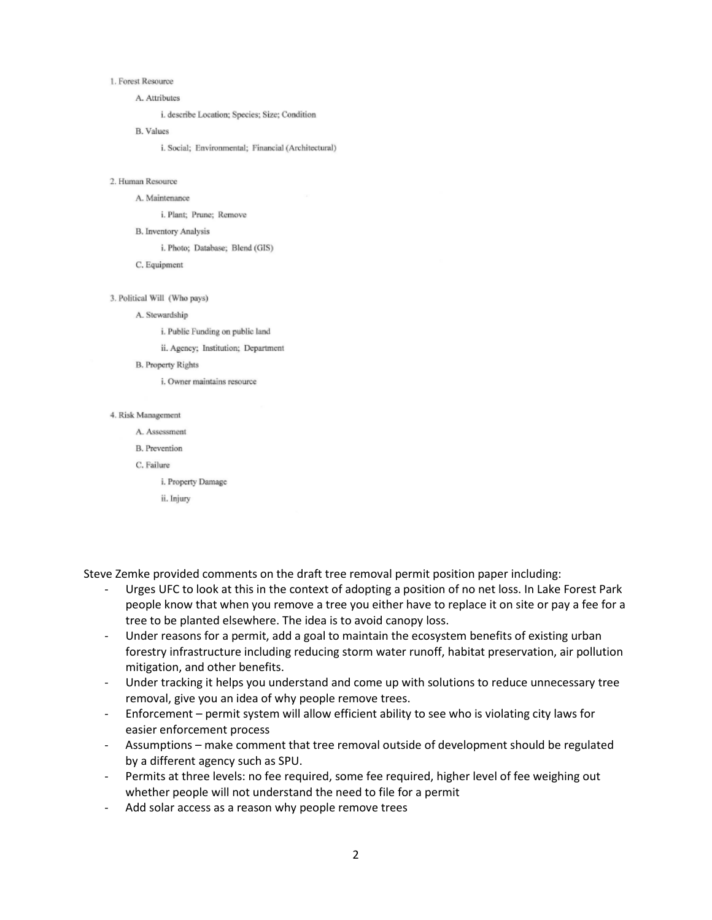### 1. Forest Resource

A. Attributes

i. describe Location; Species; Size; Condition

**B.** Values

i. Social; Environmental; Financial (Architectural)

### 2. Human Resource

A. Maintenance

i. Plant; Prune; Remove

**B.** Inventory Analysis

i. Photo; Database; Blend (GIS)

C. Equipment

#### 3. Political Will (Who pays)

### A. Stewardship

i. Public Funding on public land

ii. Agency; Institution; Department

**B.** Property Rights

i. Owner maintains resource

### 4. Risk Management

A. Assessment

**B.** Prevention

C. Failure

i. Property Damage

ii. Injury

Steve Zemke provided comments on the draft tree removal permit position paper including:

- Urges UFC to look at this in the context of adopting a position of no net loss. In Lake Forest Park people know that when you remove a tree you either have to replace it on site or pay a fee for a tree to be planted elsewhere. The idea is to avoid canopy loss.
- Under reasons for a permit, add a goal to maintain the ecosystem benefits of existing urban forestry infrastructure including reducing storm water runoff, habitat preservation, air pollution mitigation, and other benefits.
- Under tracking it helps you understand and come up with solutions to reduce unnecessary tree removal, give you an idea of why people remove trees.
- Enforcement permit system will allow efficient ability to see who is violating city laws for easier enforcement process
- Assumptions make comment that tree removal outside of development should be regulated by a different agency such as SPU.
- Permits at three levels: no fee required, some fee required, higher level of fee weighing out whether people will not understand the need to file for a permit
- Add solar access as a reason why people remove trees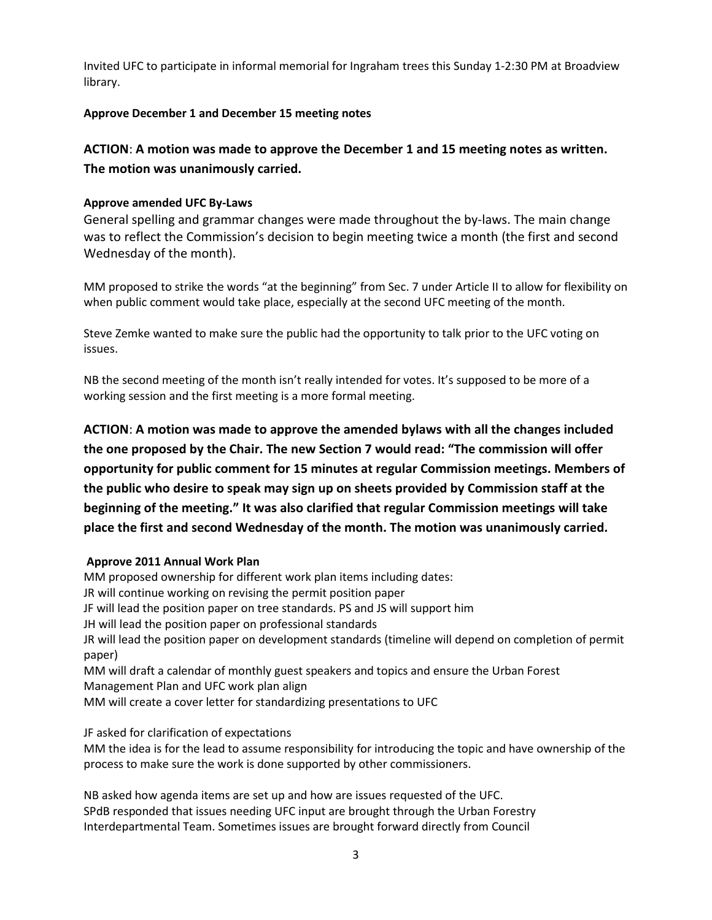Invited UFC to participate in informal memorial for Ingraham trees this Sunday 1-2:30 PM at Broadview library.

# **Approve December 1 and December 15 meeting notes**

**ACTION**: **A motion was made to approve the December 1 and 15 meeting notes as written. The motion was unanimously carried.**

# **Approve amended UFC By-Laws**

General spelling and grammar changes were made throughout the by-laws. The main change was to reflect the Commission's decision to begin meeting twice a month (the first and second Wednesday of the month).

MM proposed to strike the words "at the beginning" from Sec. 7 under Article II to allow for flexibility on when public comment would take place, especially at the second UFC meeting of the month.

Steve Zemke wanted to make sure the public had the opportunity to talk prior to the UFC voting on issues.

NB the second meeting of the month isn't really intended for votes. It's supposed to be more of a working session and the first meeting is a more formal meeting.

**ACTION**: **A motion was made to approve the amended bylaws with all the changes included the one proposed by the Chair. The new Section 7 would read: "The commission will offer opportunity for public comment for 15 minutes at regular Commission meetings. Members of the public who desire to speak may sign up on sheets provided by Commission staff at the beginning of the meeting." It was also clarified that regular Commission meetings will take place the first and second Wednesday of the month. The motion was unanimously carried.**

# **Approve 2011 Annual Work Plan**

MM proposed ownership for different work plan items including dates: JR will continue working on revising the permit position paper JF will lead the position paper on tree standards. PS and JS will support him JH will lead the position paper on professional standards JR will lead the position paper on development standards (timeline will depend on completion of permit paper) MM will draft a calendar of monthly guest speakers and topics and ensure the Urban Forest Management Plan and UFC work plan align MM will create a cover letter for standardizing presentations to UFC

JF asked for clarification of expectations

MM the idea is for the lead to assume responsibility for introducing the topic and have ownership of the process to make sure the work is done supported by other commissioners.

NB asked how agenda items are set up and how are issues requested of the UFC. SPdB responded that issues needing UFC input are brought through the Urban Forestry Interdepartmental Team. Sometimes issues are brought forward directly from Council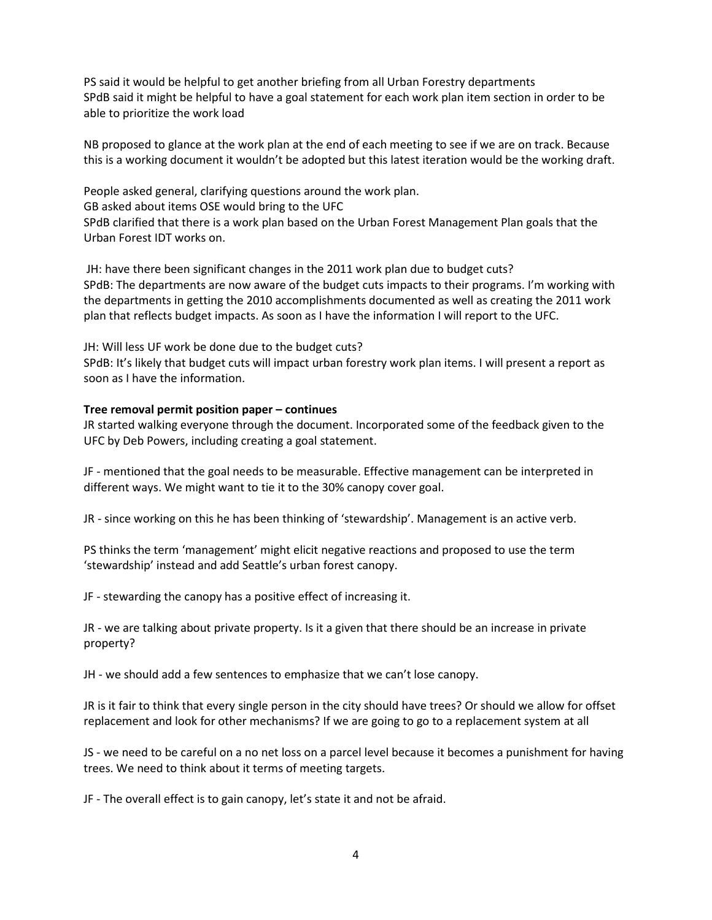PS said it would be helpful to get another briefing from all Urban Forestry departments SPdB said it might be helpful to have a goal statement for each work plan item section in order to be able to prioritize the work load

NB proposed to glance at the work plan at the end of each meeting to see if we are on track. Because this is a working document it wouldn't be adopted but this latest iteration would be the working draft.

People asked general, clarifying questions around the work plan. GB asked about items OSE would bring to the UFC SPdB clarified that there is a work plan based on the Urban Forest Management Plan goals that the Urban Forest IDT works on.

JH: have there been significant changes in the 2011 work plan due to budget cuts? SPdB: The departments are now aware of the budget cuts impacts to their programs. I'm working with the departments in getting the 2010 accomplishments documented as well as creating the 2011 work plan that reflects budget impacts. As soon as I have the information I will report to the UFC.

JH: Will less UF work be done due to the budget cuts?

SPdB: It's likely that budget cuts will impact urban forestry work plan items. I will present a report as soon as I have the information.

## **Tree removal permit position paper – continues**

JR started walking everyone through the document. Incorporated some of the feedback given to the UFC by Deb Powers, including creating a goal statement.

JF - mentioned that the goal needs to be measurable. Effective management can be interpreted in different ways. We might want to tie it to the 30% canopy cover goal.

JR - since working on this he has been thinking of 'stewardship'. Management is an active verb.

PS thinks the term 'management' might elicit negative reactions and proposed to use the term 'stewardship' instead and add Seattle's urban forest canopy.

JF - stewarding the canopy has a positive effect of increasing it.

JR - we are talking about private property. Is it a given that there should be an increase in private property?

JH - we should add a few sentences to emphasize that we can't lose canopy.

JR is it fair to think that every single person in the city should have trees? Or should we allow for offset replacement and look for other mechanisms? If we are going to go to a replacement system at all

JS - we need to be careful on a no net loss on a parcel level because it becomes a punishment for having trees. We need to think about it terms of meeting targets.

JF - The overall effect is to gain canopy, let's state it and not be afraid.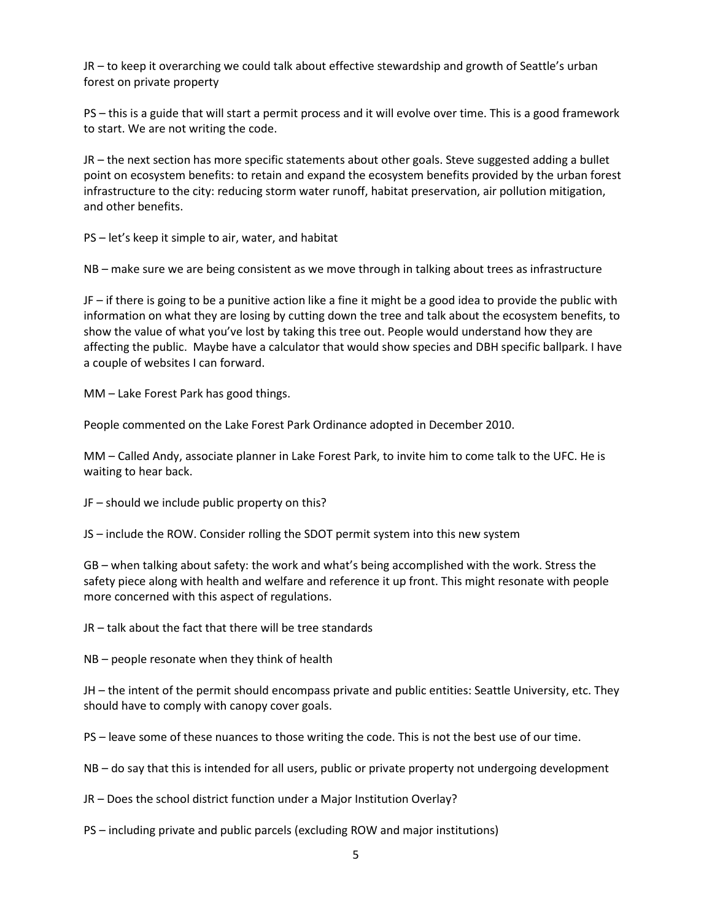JR – to keep it overarching we could talk about effective stewardship and growth of Seattle's urban forest on private property

PS – this is a guide that will start a permit process and it will evolve over time. This is a good framework to start. We are not writing the code.

JR – the next section has more specific statements about other goals. Steve suggested adding a bullet point on ecosystem benefits: to retain and expand the ecosystem benefits provided by the urban forest infrastructure to the city: reducing storm water runoff, habitat preservation, air pollution mitigation, and other benefits.

PS – let's keep it simple to air, water, and habitat

NB – make sure we are being consistent as we move through in talking about trees as infrastructure

JF – if there is going to be a punitive action like a fine it might be a good idea to provide the public with information on what they are losing by cutting down the tree and talk about the ecosystem benefits, to show the value of what you've lost by taking this tree out. People would understand how they are affecting the public. Maybe have a calculator that would show species and DBH specific ballpark. I have a couple of websites I can forward.

MM – Lake Forest Park has good things.

People commented on the Lake Forest Park Ordinance adopted in December 2010.

MM – Called Andy, associate planner in Lake Forest Park, to invite him to come talk to the UFC. He is waiting to hear back.

JF – should we include public property on this?

JS – include the ROW. Consider rolling the SDOT permit system into this new system

GB – when talking about safety: the work and what's being accomplished with the work. Stress the safety piece along with health and welfare and reference it up front. This might resonate with people more concerned with this aspect of regulations.

JR – talk about the fact that there will be tree standards

NB – people resonate when they think of health

JH – the intent of the permit should encompass private and public entities: Seattle University, etc. They should have to comply with canopy cover goals.

PS – leave some of these nuances to those writing the code. This is not the best use of our time.

NB – do say that this is intended for all users, public or private property not undergoing development

JR – Does the school district function under a Major Institution Overlay?

PS – including private and public parcels (excluding ROW and major institutions)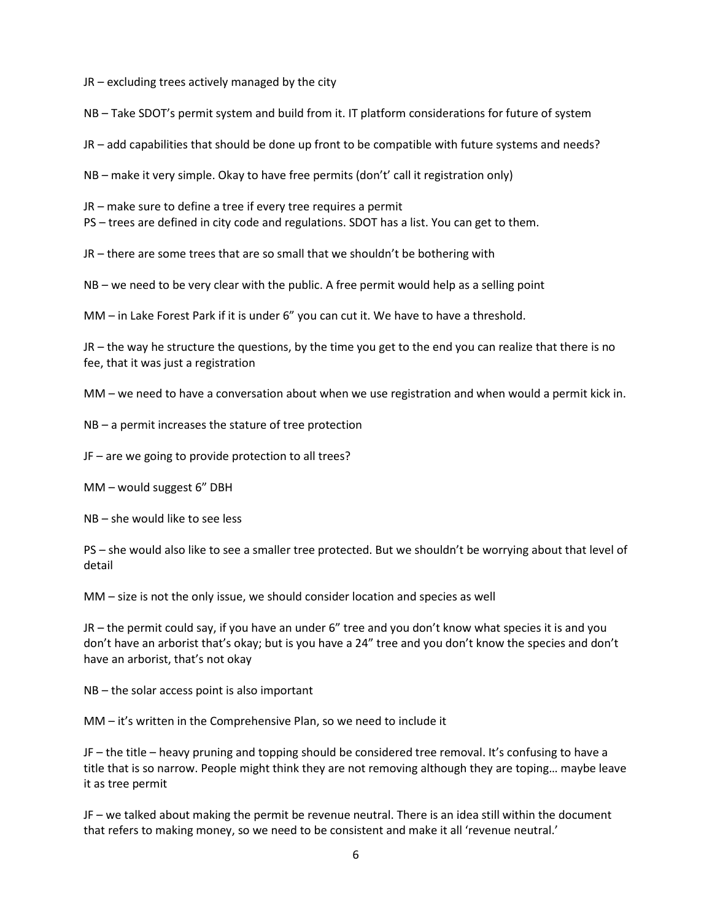JR – excluding trees actively managed by the city

NB – Take SDOT's permit system and build from it. IT platform considerations for future of system

JR – add capabilities that should be done up front to be compatible with future systems and needs?

NB – make it very simple. Okay to have free permits (don't' call it registration only)

JR – make sure to define a tree if every tree requires a permit

PS – trees are defined in city code and regulations. SDOT has a list. You can get to them.

JR – there are some trees that are so small that we shouldn't be bothering with

NB – we need to be very clear with the public. A free permit would help as a selling point

MM – in Lake Forest Park if it is under 6" you can cut it. We have to have a threshold.

JR – the way he structure the questions, by the time you get to the end you can realize that there is no fee, that it was just a registration

MM – we need to have a conversation about when we use registration and when would a permit kick in.

NB – a permit increases the stature of tree protection

JF – are we going to provide protection to all trees?

MM – would suggest 6" DBH

NB – she would like to see less

PS – she would also like to see a smaller tree protected. But we shouldn't be worrying about that level of detail

MM – size is not the only issue, we should consider location and species as well

JR – the permit could say, if you have an under 6" tree and you don't know what species it is and you don't have an arborist that's okay; but is you have a 24" tree and you don't know the species and don't have an arborist, that's not okay

NB – the solar access point is also important

MM – it's written in the Comprehensive Plan, so we need to include it

JF – the title – heavy pruning and topping should be considered tree removal. It's confusing to have a title that is so narrow. People might think they are not removing although they are toping… maybe leave it as tree permit

JF – we talked about making the permit be revenue neutral. There is an idea still within the document that refers to making money, so we need to be consistent and make it all 'revenue neutral.'